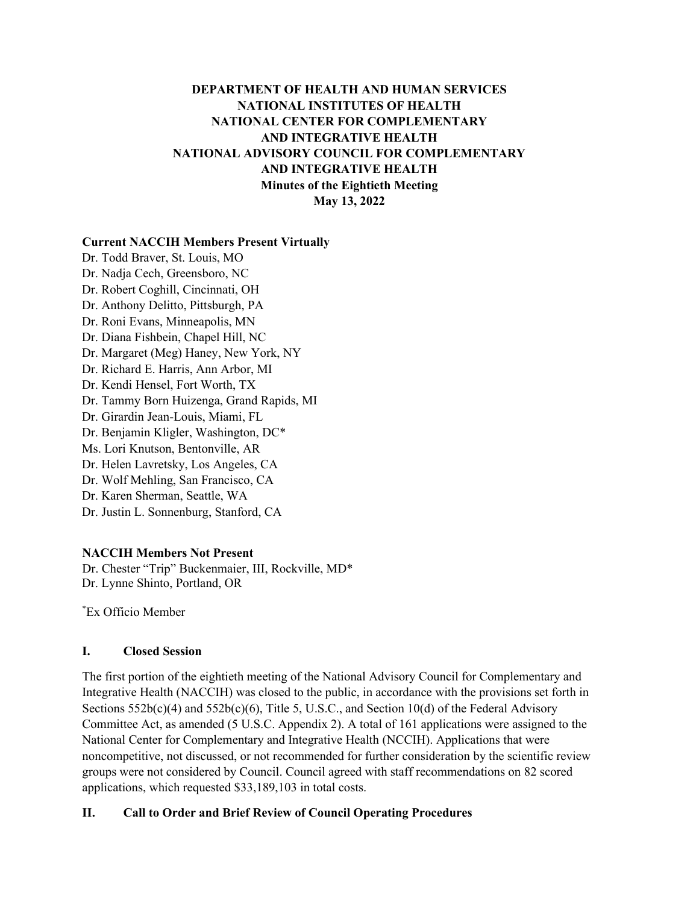# **DEPARTMENT OF HEALTH AND HUMAN SERVICES NATIONAL INSTITUTES OF HEALTH NATIONAL CENTER FOR COMPLEMENTARY AND INTEGRATIVE HEALTH NATIONAL ADVISORY COUNCIL FOR COMPLEMENTARY AND INTEGRATIVE HEALTH Minutes of the Eightieth Meeting May 13, 2022**

#### **Current NACCIH Members Present Virtually**

Dr. Todd Braver, St. Louis, MO Dr. Nadja Cech, Greensboro, NC Dr. Robert Coghill, Cincinnati, OH Dr. Anthony Delitto, Pittsburgh, PA Dr. Roni Evans, Minneapolis, MN Dr. Diana Fishbein, Chapel Hill, NC Dr. Margaret (Meg) Haney, New York, NY Dr. Richard E. Harris, Ann Arbor, MI Dr. Kendi Hensel, Fort Worth, TX Dr. Tammy Born Huizenga, Grand Rapids, MI Dr. Girardin Jean-Louis, Miami, FL Dr. Benjamin Kligler, Washington, DC\* Ms. Lori Knutson, Bentonville, AR Dr. Helen Lavretsky, Los Angeles, CA Dr. Wolf Mehling, San Francisco, CA Dr. Karen Sherman, Seattle, WA Dr. Justin L. Sonnenburg, Stanford, CA

#### **NACCIH Members Not Present**

Dr. Chester "Trip" Buckenmaier, III, Rockville, MD\* Dr. Lynne Shinto, Portland, OR

\*Ex Officio Member

#### **I. Closed Session**

The first portion of the eightieth meeting of the National Advisory Council for Complementary and Integrative Health (NACCIH) was closed to the public, in accordance with the provisions set forth in Sections  $552b(c)(4)$  and  $552b(c)(6)$ , Title 5, U.S.C., and Section 10(d) of the Federal Advisory Committee Act, as amended (5 U.S.C. Appendix 2). A total of 161 applications were assigned to the National Center for Complementary and Integrative Health (NCCIH). Applications that were noncompetitive, not discussed, or not recommended for further consideration by the scientific review groups were not considered by Council. Council agreed with staff recommendations on 82 scored applications, which requested \$33,189,103 in total costs.

### **II. Call to Order and Brief Review of Council Operating Procedures**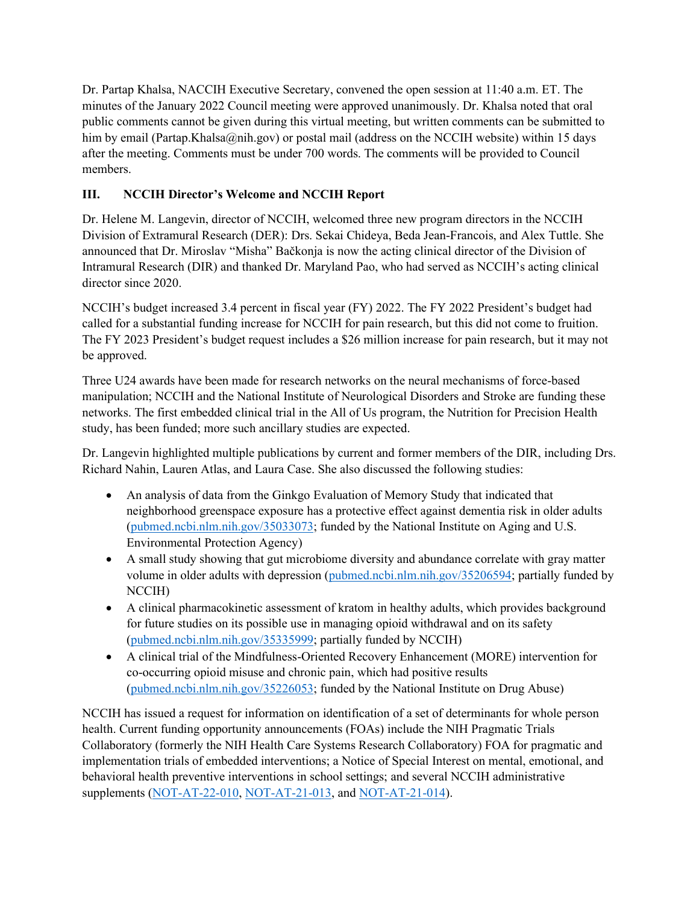Dr. Partap Khalsa, NACCIH Executive Secretary, convened the open session at 11:40 a.m. ET. The minutes of the January 2022 Council meeting were approved unanimously. Dr. Khalsa noted that oral public comments cannot be given during this virtual meeting, but written comments can be submitted to him by email (Partap.Khalsa@nih.gov) or postal mail (address on the NCCIH website) within 15 days after the meeting. Comments must be under 700 words. The comments will be provided to Council members.

# **III. NCCIH Director's Welcome and NCCIH Report**

Dr. Helene M. Langevin, director of NCCIH, welcomed three new program directors in the NCCIH Division of Extramural Research (DER): Drs. Sekai Chideya, Beda Jean-Francois, and Alex Tuttle. She announced that Dr. Miroslav "Misha" Bačkonja is now the acting clinical director of the Division of Intramural Research (DIR) and thanked Dr. Maryland Pao, who had served as NCCIH's acting clinical director since 2020.

NCCIH's budget increased 3.4 percent in fiscal year (FY) 2022. The FY 2022 President's budget had called for a substantial funding increase for NCCIH for pain research, but this did not come to fruition. The FY 2023 President's budget request includes a \$26 million increase for pain research, but it may not be approved.

Three U24 awards have been made for research networks on the neural mechanisms of force-based manipulation; NCCIH and the National Institute of Neurological Disorders and Stroke are funding these networks. The first embedded clinical trial in the All of Us program, the Nutrition for Precision Health study, has been funded; more such ancillary studies are expected.

Dr. Langevin highlighted multiple publications by current and former members of the DIR, including Drs. Richard Nahin, Lauren Atlas, and Laura Case. She also discussed the following studies:

- An analysis of data from the Ginkgo Evaluation of Memory Study that indicated that neighborhood greenspace exposure has a protective effect against dementia risk in older adults [\(pubmed.ncbi.nlm.nih.gov/35033073;](https://pubmed.ncbi.nlm.nih.gov/35033073/) funded by the National Institute on Aging and U.S. Environmental Protection Agency)
- A small study showing that gut microbiome diversity and abundance correlate with gray matter volume in older adults with depression [\(pubmed.ncbi.nlm.nih.gov/35206594;](https://pubmed.ncbi.nlm.nih.gov/35206594/) partially funded by NCCIH)
- A clinical pharmacokinetic assessment of kratom in healthy adults, which provides background for future studies on its possible use in managing opioid withdrawal and on its safety [\(pubmed.ncbi.nlm.nih.gov/35335999;](https://pubmed.ncbi.nlm.nih.gov/35335999/) partially funded by NCCIH)
- A clinical trial of the Mindfulness-Oriented Recovery Enhancement (MORE) intervention for co-occurring opioid misuse and chronic pain, which had positive results [\(pubmed.ncbi.nlm.nih.gov/35226053;](https://pubmed.ncbi.nlm.nih.gov/35226053) funded by the National Institute on Drug Abuse)

NCCIH has issued a request for information on identification of a set of determinants for whole person health. Current funding opportunity announcements (FOAs) include the NIH Pragmatic Trials Collaboratory (formerly the NIH Health Care Systems Research Collaboratory) FOA for pragmatic and implementation trials of embedded interventions; a Notice of Special Interest on mental, emotional, and behavioral health preventive interventions in school settings; and several NCCIH administrative supplements [\(NOT-AT-22-010,](https://grants.nih.gov/grants/guide/notice-files/NOT-AT-22-010.html) [NOT-AT-21-013,](https://grants.nih.gov/grants/guide/notice-files/NOT-AT-21-013.html) and [NOT-AT-21-014\)](https://grants.nih.gov/grants/guide/notice-files/NOT-AT-21-014.html).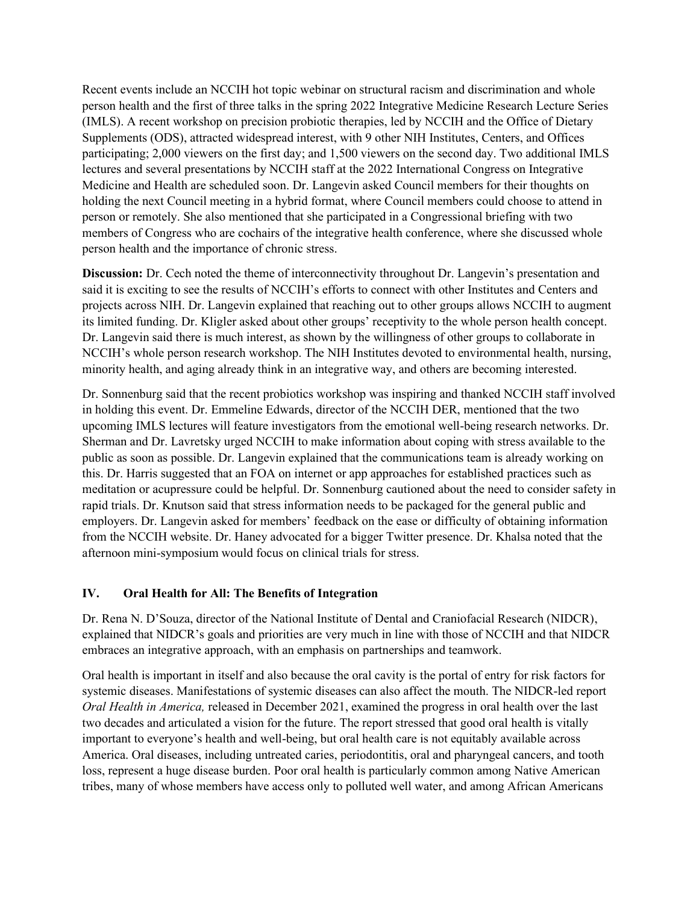Recent events include an NCCIH hot topic webinar on structural racism and discrimination and whole person health and the first of three talks in the spring 2022 Integrative Medicine Research Lecture Series (IMLS). A recent workshop on precision probiotic therapies, led by NCCIH and the Office of Dietary Supplements (ODS), attracted widespread interest, with 9 other NIH Institutes, Centers, and Offices participating; 2,000 viewers on the first day; and 1,500 viewers on the second day. Two additional IMLS lectures and several presentations by NCCIH staff at the 2022 International Congress on Integrative Medicine and Health are scheduled soon. Dr. Langevin asked Council members for their thoughts on holding the next Council meeting in a hybrid format, where Council members could choose to attend in person or remotely. She also mentioned that she participated in a Congressional briefing with two members of Congress who are cochairs of the integrative health conference, where she discussed whole person health and the importance of chronic stress.

**Discussion:** Dr. Cech noted the theme of interconnectivity throughout Dr. Langevin's presentation and said it is exciting to see the results of NCCIH's efforts to connect with other Institutes and Centers and projects across NIH. Dr. Langevin explained that reaching out to other groups allows NCCIH to augment its limited funding. Dr. Kligler asked about other groups' receptivity to the whole person health concept. Dr. Langevin said there is much interest, as shown by the willingness of other groups to collaborate in NCCIH's whole person research workshop. The NIH Institutes devoted to environmental health, nursing, minority health, and aging already think in an integrative way, and others are becoming interested.

Dr. Sonnenburg said that the recent probiotics workshop was inspiring and thanked NCCIH staff involved in holding this event. Dr. Emmeline Edwards, director of the NCCIH DER, mentioned that the two upcoming IMLS lectures will feature investigators from the emotional well-being research networks. Dr. Sherman and Dr. Lavretsky urged NCCIH to make information about coping with stress available to the public as soon as possible. Dr. Langevin explained that the communications team is already working on this. Dr. Harris suggested that an FOA on internet or app approaches for established practices such as meditation or acupressure could be helpful. Dr. Sonnenburg cautioned about the need to consider safety in rapid trials. Dr. Knutson said that stress information needs to be packaged for the general public and employers. Dr. Langevin asked for members' feedback on the ease or difficulty of obtaining information from the NCCIH website. Dr. Haney advocated for a bigger Twitter presence. Dr. Khalsa noted that the afternoon mini-symposium would focus on clinical trials for stress.

### **IV. Oral Health for All: The Benefits of Integration**

Dr. Rena N. D'Souza, director of the National Institute of Dental and Craniofacial Research (NIDCR), explained that NIDCR's goals and priorities are very much in line with those of NCCIH and that NIDCR embraces an integrative approach, with an emphasis on partnerships and teamwork.

Oral health is important in itself and also because the oral cavity is the portal of entry for risk factors for systemic diseases. Manifestations of systemic diseases can also affect the mouth. The NIDCR-led report *Oral Health in America,* released in December 2021, examined the progress in oral health over the last two decades and articulated a vision for the future. The report stressed that good oral health is vitally important to everyone's health and well-being, but oral health care is not equitably available across America. Oral diseases, including untreated caries, periodontitis, oral and pharyngeal cancers, and tooth loss, represent a huge disease burden. Poor oral health is particularly common among Native American tribes, many of whose members have access only to polluted well water, and among African Americans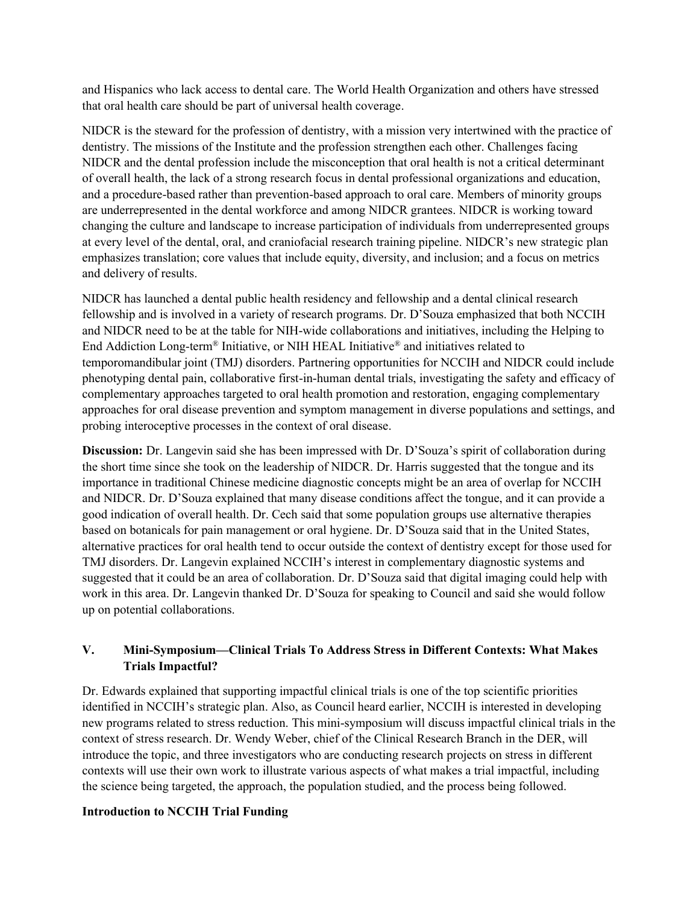and Hispanics who lack access to dental care. The World Health Organization and others have stressed that oral health care should be part of universal health coverage.

NIDCR is the steward for the profession of dentistry, with a mission very intertwined with the practice of dentistry. The missions of the Institute and the profession strengthen each other. Challenges facing NIDCR and the dental profession include the misconception that oral health is not a critical determinant of overall health, the lack of a strong research focus in dental professional organizations and education, and a procedure-based rather than prevention-based approach to oral care. Members of minority groups are underrepresented in the dental workforce and among NIDCR grantees. NIDCR is working toward changing the culture and landscape to increase participation of individuals from underrepresented groups at every level of the dental, oral, and craniofacial research training pipeline. NIDCR's new strategic plan emphasizes translation; core values that include equity, diversity, and inclusion; and a focus on metrics and delivery of results.

NIDCR has launched a dental public health residency and fellowship and a dental clinical research fellowship and is involved in a variety of research programs. Dr. D'Souza emphasized that both NCCIH and NIDCR need to be at the table for NIH-wide collaborations and initiatives, including the Helping to End Addiction Long-term® Initiative, or NIH HEAL Initiative® and initiatives related to temporomandibular joint (TMJ) disorders. Partnering opportunities for NCCIH and NIDCR could include phenotyping dental pain, collaborative first-in-human dental trials, investigating the safety and efficacy of complementary approaches targeted to oral health promotion and restoration, engaging complementary approaches for oral disease prevention and symptom management in diverse populations and settings, and probing interoceptive processes in the context of oral disease.

**Discussion:** Dr. Langevin said she has been impressed with Dr. D'Souza's spirit of collaboration during the short time since she took on the leadership of NIDCR. Dr. Harris suggested that the tongue and its importance in traditional Chinese medicine diagnostic concepts might be an area of overlap for NCCIH and NIDCR. Dr. D'Souza explained that many disease conditions affect the tongue, and it can provide a good indication of overall health. Dr. Cech said that some population groups use alternative therapies based on botanicals for pain management or oral hygiene. Dr. D'Souza said that in the United States, alternative practices for oral health tend to occur outside the context of dentistry except for those used for TMJ disorders. Dr. Langevin explained NCCIH's interest in complementary diagnostic systems and suggested that it could be an area of collaboration. Dr. D'Souza said that digital imaging could help with work in this area. Dr. Langevin thanked Dr. D'Souza for speaking to Council and said she would follow up on potential collaborations.

## **V. Mini-Symposium—Clinical Trials To Address Stress in Different Contexts: What Makes Trials Impactful?**

Dr. Edwards explained that supporting impactful clinical trials is one of the top scientific priorities identified in NCCIH's strategic plan. Also, as Council heard earlier, NCCIH is interested in developing new programs related to stress reduction. This mini-symposium will discuss impactful clinical trials in the context of stress research. Dr. Wendy Weber, chief of the Clinical Research Branch in the DER, will introduce the topic, and three investigators who are conducting research projects on stress in different contexts will use their own work to illustrate various aspects of what makes a trial impactful, including the science being targeted, the approach, the population studied, and the process being followed.

#### **Introduction to NCCIH Trial Funding**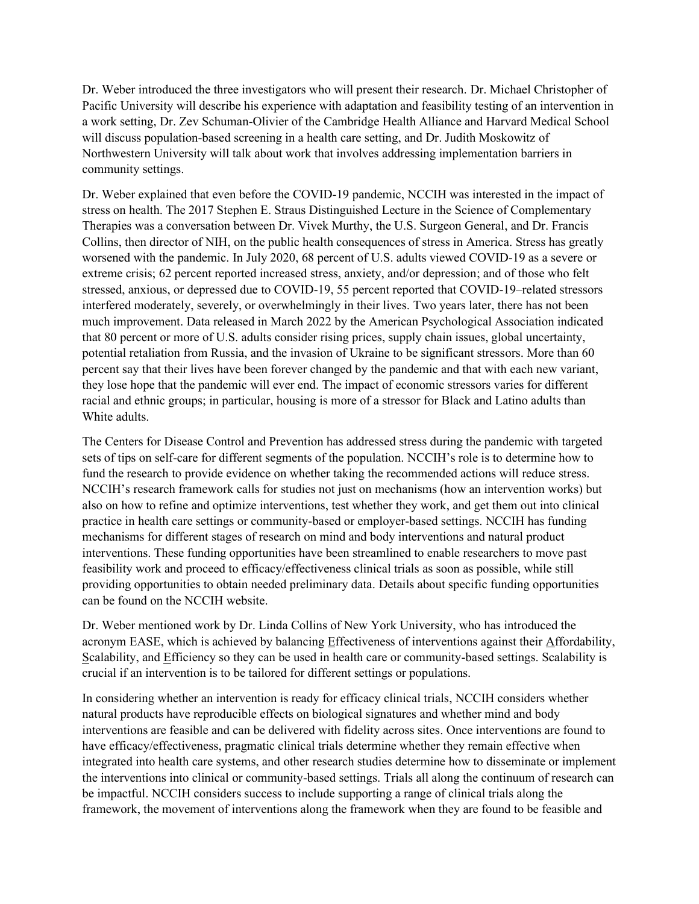Dr. Weber introduced the three investigators who will present their research. Dr. Michael Christopher of Pacific University will describe his experience with adaptation and feasibility testing of an intervention in a work setting, Dr. Zev Schuman-Olivier of the Cambridge Health Alliance and Harvard Medical School will discuss population-based screening in a health care setting, and Dr. Judith Moskowitz of Northwestern University will talk about work that involves addressing implementation barriers in community settings.

Dr. Weber explained that even before the COVID-19 pandemic, NCCIH was interested in the impact of stress on health. The 2017 Stephen E. Straus Distinguished Lecture in the Science of Complementary Therapies was a conversation between Dr. Vivek Murthy, the U.S. Surgeon General, and Dr. Francis Collins, then director of NIH, on the public health consequences of stress in America. Stress has greatly worsened with the pandemic. In July 2020, 68 percent of U.S. adults viewed COVID-19 as a severe or extreme crisis; 62 percent reported increased stress, anxiety, and/or depression; and of those who felt stressed, anxious, or depressed due to COVID-19, 55 percent reported that COVID-19–related stressors interfered moderately, severely, or overwhelmingly in their lives. Two years later, there has not been much improvement. Data released in March 2022 by the American Psychological Association indicated that 80 percent or more of U.S. adults consider rising prices, supply chain issues, global uncertainty, potential retaliation from Russia, and the invasion of Ukraine to be significant stressors. More than 60 percent say that their lives have been forever changed by the pandemic and that with each new variant, they lose hope that the pandemic will ever end. The impact of economic stressors varies for different racial and ethnic groups; in particular, housing is more of a stressor for Black and Latino adults than White adults.

The Centers for Disease Control and Prevention has addressed stress during the pandemic with targeted sets of tips on self-care for different segments of the population. NCCIH's role is to determine how to fund the research to provide evidence on whether taking the recommended actions will reduce stress. NCCIH's research framework calls for studies not just on mechanisms (how an intervention works) but also on how to refine and optimize interventions, test whether they work, and get them out into clinical practice in health care settings or community-based or employer-based settings. NCCIH has funding mechanisms for different stages of research on mind and body interventions and natural product interventions. These funding opportunities have been streamlined to enable researchers to move past feasibility work and proceed to efficacy/effectiveness clinical trials as soon as possible, while still providing opportunities to obtain needed preliminary data. Details about specific funding opportunities can be found on the NCCIH website.

Dr. Weber mentioned work by Dr. Linda Collins of New York University, who has introduced the acronym EASE, which is achieved by balancing Effectiveness of interventions against their Affordability, Scalability, and Efficiency so they can be used in health care or community-based settings. Scalability is crucial if an intervention is to be tailored for different settings or populations.

In considering whether an intervention is ready for efficacy clinical trials, NCCIH considers whether natural products have reproducible effects on biological signatures and whether mind and body interventions are feasible and can be delivered with fidelity across sites. Once interventions are found to have efficacy/effectiveness, pragmatic clinical trials determine whether they remain effective when integrated into health care systems, and other research studies determine how to disseminate or implement the interventions into clinical or community-based settings. Trials all along the continuum of research can be impactful. NCCIH considers success to include supporting a range of clinical trials along the framework, the movement of interventions along the framework when they are found to be feasible and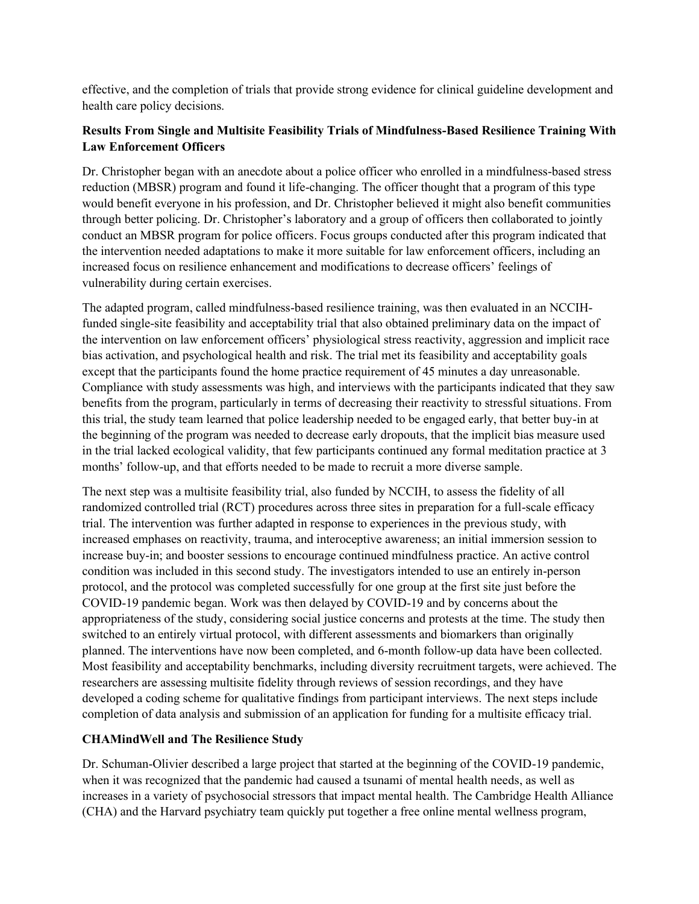effective, and the completion of trials that provide strong evidence for clinical guideline development and health care policy decisions.

## **Results From Single and Multisite Feasibility Trials of Mindfulness-Based Resilience Training With Law Enforcement Officers**

Dr. Christopher began with an anecdote about a police officer who enrolled in a mindfulness-based stress reduction (MBSR) program and found it life-changing. The officer thought that a program of this type would benefit everyone in his profession, and Dr. Christopher believed it might also benefit communities through better policing. Dr. Christopher's laboratory and a group of officers then collaborated to jointly conduct an MBSR program for police officers. Focus groups conducted after this program indicated that the intervention needed adaptations to make it more suitable for law enforcement officers, including an increased focus on resilience enhancement and modifications to decrease officers' feelings of vulnerability during certain exercises.

The adapted program, called mindfulness-based resilience training, was then evaluated in an NCCIHfunded single-site feasibility and acceptability trial that also obtained preliminary data on the impact of the intervention on law enforcement officers' physiological stress reactivity, aggression and implicit race bias activation, and psychological health and risk. The trial met its feasibility and acceptability goals except that the participants found the home practice requirement of 45 minutes a day unreasonable. Compliance with study assessments was high, and interviews with the participants indicated that they saw benefits from the program, particularly in terms of decreasing their reactivity to stressful situations. From this trial, the study team learned that police leadership needed to be engaged early, that better buy-in at the beginning of the program was needed to decrease early dropouts, that the implicit bias measure used in the trial lacked ecological validity, that few participants continued any formal meditation practice at 3 months' follow-up, and that efforts needed to be made to recruit a more diverse sample.

The next step was a multisite feasibility trial, also funded by NCCIH, to assess the fidelity of all randomized controlled trial (RCT) procedures across three sites in preparation for a full-scale efficacy trial. The intervention was further adapted in response to experiences in the previous study, with increased emphases on reactivity, trauma, and interoceptive awareness; an initial immersion session to increase buy-in; and booster sessions to encourage continued mindfulness practice. An active control condition was included in this second study. The investigators intended to use an entirely in-person protocol, and the protocol was completed successfully for one group at the first site just before the COVID-19 pandemic began. Work was then delayed by COVID-19 and by concerns about the appropriateness of the study, considering social justice concerns and protests at the time. The study then switched to an entirely virtual protocol, with different assessments and biomarkers than originally planned. The interventions have now been completed, and 6-month follow-up data have been collected. Most feasibility and acceptability benchmarks, including diversity recruitment targets, were achieved. The researchers are assessing multisite fidelity through reviews of session recordings, and they have developed a coding scheme for qualitative findings from participant interviews. The next steps include completion of data analysis and submission of an application for funding for a multisite efficacy trial.

### **CHAMindWell and The Resilience Study**

Dr. Schuman-Olivier described a large project that started at the beginning of the COVID-19 pandemic, when it was recognized that the pandemic had caused a tsunami of mental health needs, as well as increases in a variety of psychosocial stressors that impact mental health. The Cambridge Health Alliance (CHA) and the Harvard psychiatry team quickly put together a free online mental wellness program,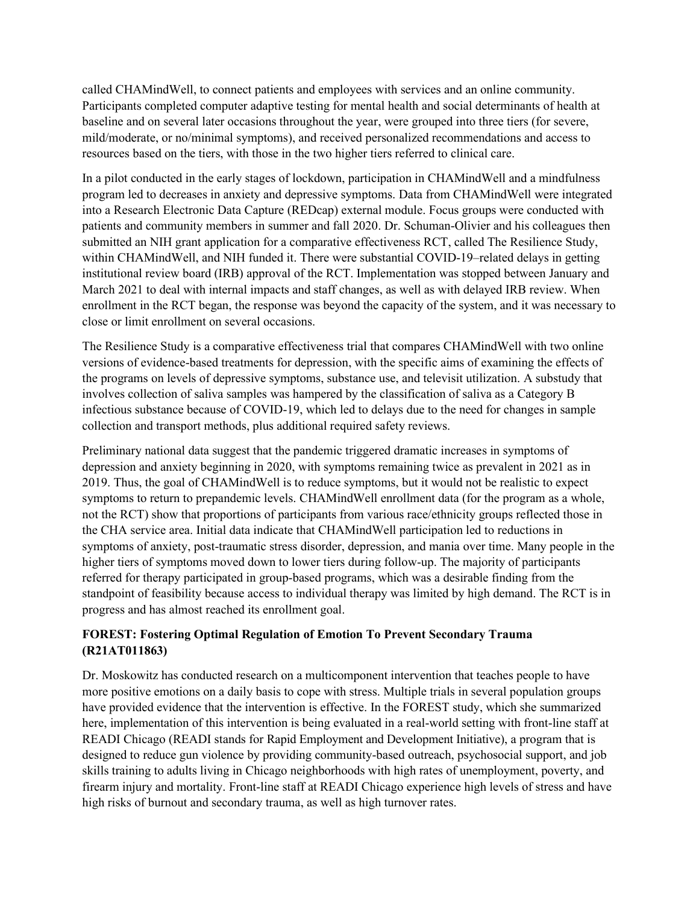called CHAMindWell, to connect patients and employees with services and an online community. Participants completed computer adaptive testing for mental health and social determinants of health at baseline and on several later occasions throughout the year, were grouped into three tiers (for severe, mild/moderate, or no/minimal symptoms), and received personalized recommendations and access to resources based on the tiers, with those in the two higher tiers referred to clinical care.

In a pilot conducted in the early stages of lockdown, participation in CHAMindWell and a mindfulness program led to decreases in anxiety and depressive symptoms. Data from CHAMindWell were integrated into a Research Electronic Data Capture (REDcap) external module. Focus groups were conducted with patients and community members in summer and fall 2020. Dr. Schuman-Olivier and his colleagues then submitted an NIH grant application for a comparative effectiveness RCT, called The Resilience Study, within CHAMindWell, and NIH funded it. There were substantial COVID-19–related delays in getting institutional review board (IRB) approval of the RCT. Implementation was stopped between January and March 2021 to deal with internal impacts and staff changes, as well as with delayed IRB review. When enrollment in the RCT began, the response was beyond the capacity of the system, and it was necessary to close or limit enrollment on several occasions.

The Resilience Study is a comparative effectiveness trial that compares CHAMindWell with two online versions of evidence-based treatments for depression, with the specific aims of examining the effects of the programs on levels of depressive symptoms, substance use, and televisit utilization. A substudy that involves collection of saliva samples was hampered by the classification of saliva as a Category B infectious substance because of COVID-19, which led to delays due to the need for changes in sample collection and transport methods, plus additional required safety reviews.

Preliminary national data suggest that the pandemic triggered dramatic increases in symptoms of depression and anxiety beginning in 2020, with symptoms remaining twice as prevalent in 2021 as in 2019. Thus, the goal of CHAMindWell is to reduce symptoms, but it would not be realistic to expect symptoms to return to prepandemic levels. CHAMindWell enrollment data (for the program as a whole, not the RCT) show that proportions of participants from various race/ethnicity groups reflected those in the CHA service area. Initial data indicate that CHAMindWell participation led to reductions in symptoms of anxiety, post-traumatic stress disorder, depression, and mania over time. Many people in the higher tiers of symptoms moved down to lower tiers during follow-up. The majority of participants referred for therapy participated in group-based programs, which was a desirable finding from the standpoint of feasibility because access to individual therapy was limited by high demand. The RCT is in progress and has almost reached its enrollment goal.

## **FOREST: Fostering Optimal Regulation of Emotion To Prevent Secondary Trauma (R21AT011863)**

Dr. Moskowitz has conducted research on a multicomponent intervention that teaches people to have more positive emotions on a daily basis to cope with stress. Multiple trials in several population groups have provided evidence that the intervention is effective. In the FOREST study, which she summarized here, implementation of this intervention is being evaluated in a real-world setting with front-line staff at READI Chicago (READI stands for Rapid Employment and Development Initiative), a program that is designed to reduce gun violence by providing community-based outreach, psychosocial support, and job skills training to adults living in Chicago neighborhoods with high rates of unemployment, poverty, and firearm injury and mortality. Front-line staff at READI Chicago experience high levels of stress and have high risks of burnout and secondary trauma, as well as high turnover rates.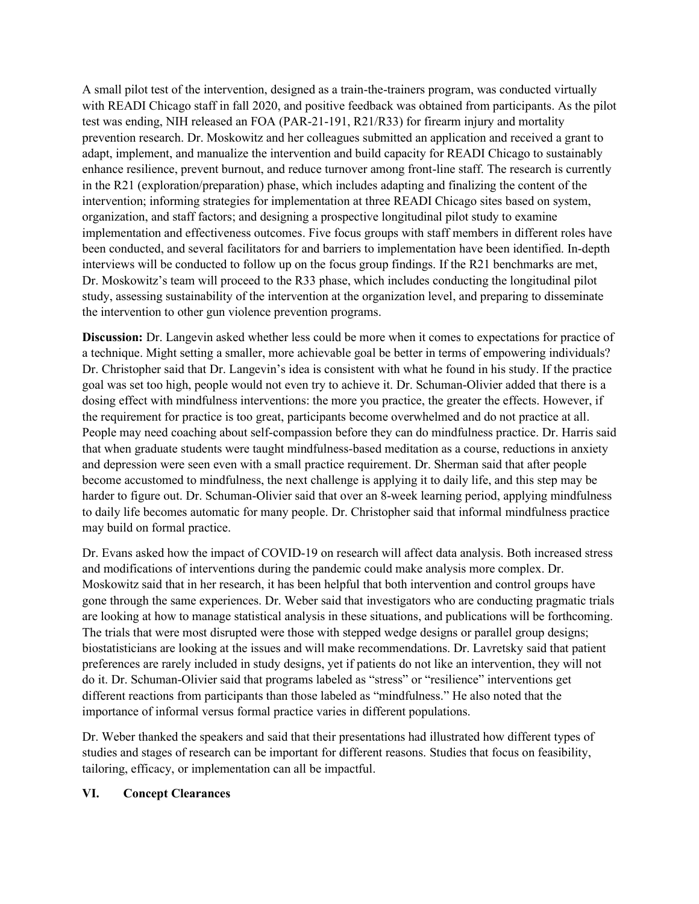A small pilot test of the intervention, designed as a train-the-trainers program, was conducted virtually with READI Chicago staff in fall 2020, and positive feedback was obtained from participants. As the pilot test was ending, NIH released an FOA (PAR-21-191, R21/R33) for firearm injury and mortality prevention research. Dr. Moskowitz and her colleagues submitted an application and received a grant to adapt, implement, and manualize the intervention and build capacity for READI Chicago to sustainably enhance resilience, prevent burnout, and reduce turnover among front-line staff. The research is currently in the R21 (exploration/preparation) phase, which includes adapting and finalizing the content of the intervention; informing strategies for implementation at three READI Chicago sites based on system, organization, and staff factors; and designing a prospective longitudinal pilot study to examine implementation and effectiveness outcomes. Five focus groups with staff members in different roles have been conducted, and several facilitators for and barriers to implementation have been identified. In-depth interviews will be conducted to follow up on the focus group findings. If the R21 benchmarks are met, Dr. Moskowitz's team will proceed to the R33 phase, which includes conducting the longitudinal pilot study, assessing sustainability of the intervention at the organization level, and preparing to disseminate the intervention to other gun violence prevention programs.

**Discussion:** Dr. Langevin asked whether less could be more when it comes to expectations for practice of a technique. Might setting a smaller, more achievable goal be better in terms of empowering individuals? Dr. Christopher said that Dr. Langevin's idea is consistent with what he found in his study. If the practice goal was set too high, people would not even try to achieve it. Dr. Schuman-Olivier added that there is a dosing effect with mindfulness interventions: the more you practice, the greater the effects. However, if the requirement for practice is too great, participants become overwhelmed and do not practice at all. People may need coaching about self-compassion before they can do mindfulness practice. Dr. Harris said that when graduate students were taught mindfulness-based meditation as a course, reductions in anxiety and depression were seen even with a small practice requirement. Dr. Sherman said that after people become accustomed to mindfulness, the next challenge is applying it to daily life, and this step may be harder to figure out. Dr. Schuman-Olivier said that over an 8-week learning period, applying mindfulness to daily life becomes automatic for many people. Dr. Christopher said that informal mindfulness practice may build on formal practice.

Dr. Evans asked how the impact of COVID-19 on research will affect data analysis. Both increased stress and modifications of interventions during the pandemic could make analysis more complex. Dr. Moskowitz said that in her research, it has been helpful that both intervention and control groups have gone through the same experiences. Dr. Weber said that investigators who are conducting pragmatic trials are looking at how to manage statistical analysis in these situations, and publications will be forthcoming. The trials that were most disrupted were those with stepped wedge designs or parallel group designs; biostatisticians are looking at the issues and will make recommendations. Dr. Lavretsky said that patient preferences are rarely included in study designs, yet if patients do not like an intervention, they will not do it. Dr. Schuman-Olivier said that programs labeled as "stress" or "resilience" interventions get different reactions from participants than those labeled as "mindfulness." He also noted that the importance of informal versus formal practice varies in different populations.

Dr. Weber thanked the speakers and said that their presentations had illustrated how different types of studies and stages of research can be important for different reasons. Studies that focus on feasibility, tailoring, efficacy, or implementation can all be impactful.

#### **VI. Concept Clearances**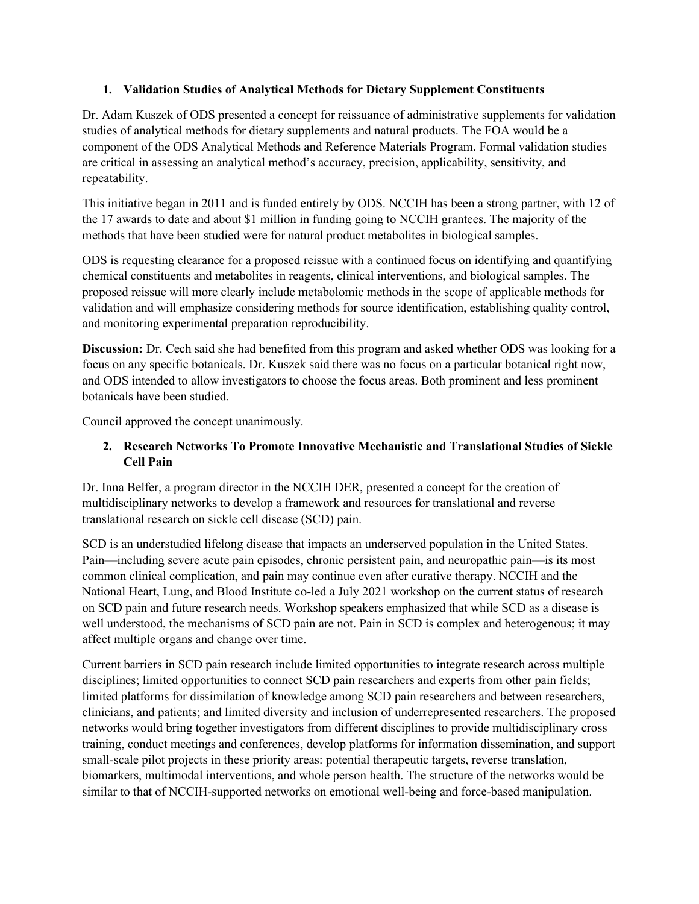### **1. Validation Studies of Analytical Methods for Dietary Supplement Constituents**

Dr. Adam Kuszek of ODS presented a concept for reissuance of administrative supplements for validation studies of analytical methods for dietary supplements and natural products. The FOA would be a component of the ODS Analytical Methods and Reference Materials Program. Formal validation studies are critical in assessing an analytical method's accuracy, precision, applicability, sensitivity, and repeatability.

This initiative began in 2011 and is funded entirely by ODS. NCCIH has been a strong partner, with 12 of the 17 awards to date and about \$1 million in funding going to NCCIH grantees. The majority of the methods that have been studied were for natural product metabolites in biological samples.

ODS is requesting clearance for a proposed reissue with a continued focus on identifying and quantifying chemical constituents and metabolites in reagents, clinical interventions, and biological samples. The proposed reissue will more clearly include metabolomic methods in the scope of applicable methods for validation and will emphasize considering methods for source identification, establishing quality control, and monitoring experimental preparation reproducibility.

**Discussion:** Dr. Cech said she had benefited from this program and asked whether ODS was looking for a focus on any specific botanicals. Dr. Kuszek said there was no focus on a particular botanical right now, and ODS intended to allow investigators to choose the focus areas. Both prominent and less prominent botanicals have been studied.

Council approved the concept unanimously.

# **2. Research Networks To Promote Innovative Mechanistic and Translational Studies of Sickle Cell Pain**

Dr. Inna Belfer, a program director in the NCCIH DER, presented a concept for the creation of multidisciplinary networks to develop a framework and resources for translational and reverse translational research on sickle cell disease (SCD) pain.

SCD is an understudied lifelong disease that impacts an underserved population in the United States. Pain—including severe acute pain episodes, chronic persistent pain, and neuropathic pain—is its most common clinical complication, and pain may continue even after curative therapy. NCCIH and the National Heart, Lung, and Blood Institute co-led a July 2021 workshop on the current status of research on SCD pain and future research needs. Workshop speakers emphasized that while SCD as a disease is well understood, the mechanisms of SCD pain are not. Pain in SCD is complex and heterogenous; it may affect multiple organs and change over time.

Current barriers in SCD pain research include limited opportunities to integrate research across multiple disciplines; limited opportunities to connect SCD pain researchers and experts from other pain fields; limited platforms for dissimilation of knowledge among SCD pain researchers and between researchers, clinicians, and patients; and limited diversity and inclusion of underrepresented researchers. The proposed networks would bring together investigators from different disciplines to provide multidisciplinary cross training, conduct meetings and conferences, develop platforms for information dissemination, and support small-scale pilot projects in these priority areas: potential therapeutic targets, reverse translation, biomarkers, multimodal interventions, and whole person health. The structure of the networks would be similar to that of NCCIH-supported networks on emotional well-being and force-based manipulation.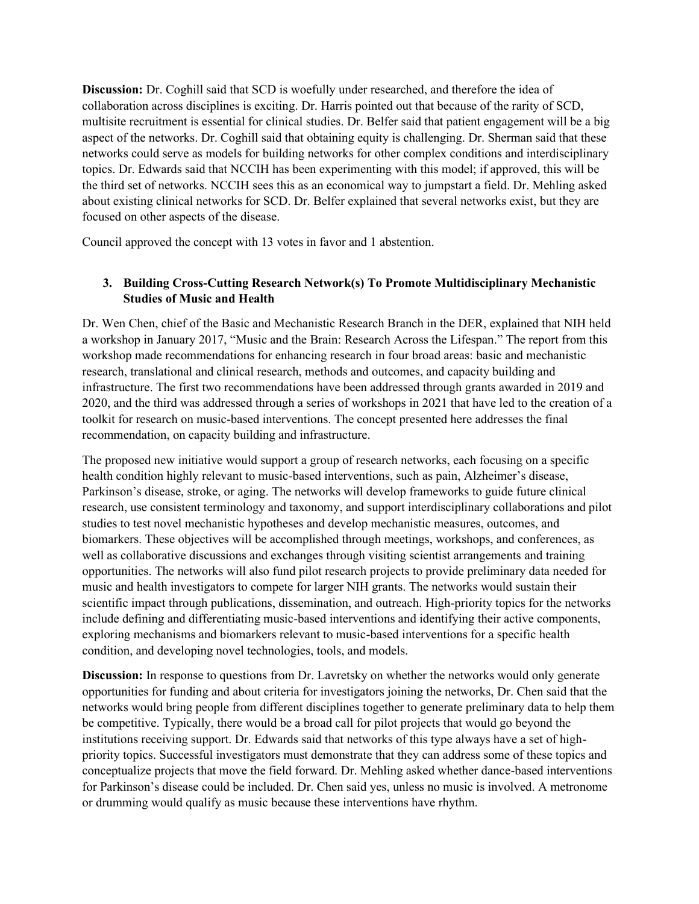**Discussion:** Dr. Coghill said that SCD is woefully under researched, and therefore the idea of collaboration across disciplines is exciting. Dr. Harris pointed out that because of the rarity of SCD, multisite recruitment is essential for clinical studies. Dr. Belfer said that patient engagement will be a big aspect of the networks. Dr. Coghill said that obtaining equity is challenging. Dr. Sherman said that these networks could serve as models for building networks for other complex conditions and interdisciplinary topics. Dr. Edwards said that NCCIH has been experimenting with this model; if approved, this will be the third set of networks. NCCIH sees this as an economical way to jumpstart a field. Dr. Mehling asked about existing clinical networks for SCD. Dr. Belfer explained that several networks exist, but they are focused on other aspects of the disease.

Council approved the concept with 13 votes in favor and 1 abstention.

# **3. Building Cross-Cutting Research Network(s) To Promote Multidisciplinary Mechanistic Studies of Music and Health**

Dr. Wen Chen, chief of the Basic and Mechanistic Research Branch in the DER, explained that NIH held a workshop in January 2017, "Music and the Brain: Research Across the Lifespan." The report from this workshop made recommendations for enhancing research in four broad areas: basic and mechanistic research, translational and clinical research, methods and outcomes, and capacity building and infrastructure. The first two recommendations have been addressed through grants awarded in 2019 and 2020, and the third was addressed through a series of workshops in 2021 that have led to the creation of a toolkit for research on music-based interventions. The concept presented here addresses the final recommendation, on capacity building and infrastructure.

The proposed new initiative would support a group of research networks, each focusing on a specific health condition highly relevant to music-based interventions, such as pain, Alzheimer's disease, Parkinson's disease, stroke, or aging. The networks will develop frameworks to guide future clinical research, use consistent terminology and taxonomy, and support interdisciplinary collaborations and pilot studies to test novel mechanistic hypotheses and develop mechanistic measures, outcomes, and biomarkers. These objectives will be accomplished through meetings, workshops, and conferences, as well as collaborative discussions and exchanges through visiting scientist arrangements and training opportunities. The networks will also fund pilot research projects to provide preliminary data needed for music and health investigators to compete for larger NIH grants. The networks would sustain their scientific impact through publications, dissemination, and outreach. High-priority topics for the networks include defining and differentiating music-based interventions and identifying their active components, exploring mechanisms and biomarkers relevant to music-based interventions for a specific health condition, and developing novel technologies, tools, and models.

**Discussion:** In response to questions from Dr. Lavretsky on whether the networks would only generate opportunities for funding and about criteria for investigators joining the networks, Dr. Chen said that the networks would bring people from different disciplines together to generate preliminary data to help them be competitive. Typically, there would be a broad call for pilot projects that would go beyond the institutions receiving support. Dr. Edwards said that networks of this type always have a set of highpriority topics. Successful investigators must demonstrate that they can address some of these topics and conceptualize projects that move the field forward. Dr. Mehling asked whether dance-based interventions for Parkinson's disease could be included. Dr. Chen said yes, unless no music is involved. A metronome or drumming would qualify as music because these interventions have rhythm.